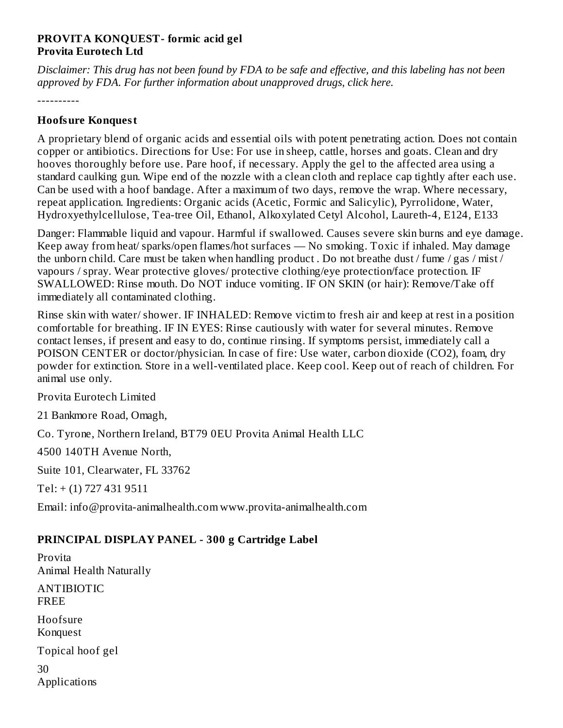#### **PROVITA KONQUEST- formic acid gel Provita Eurotech Ltd**

Disclaimer: This drug has not been found by FDA to be safe and effective, and this labeling has not been *approved by FDA. For further information about unapproved drugs, click here.*

----------

### **Hoofsure Konquest**

A proprietary blend of organic acids and essential oils with potent penetrating action. Does not contain copper or antibiotics. Directions for Use: For use in sheep, cattle, horses and goats. Clean and dry hooves thoroughly before use. Pare hoof, if necessary. Apply the gel to the affected area using a standard caulking gun. Wipe end of the nozzle with a clean cloth and replace cap tightly after each use. Can be used with a hoof bandage. After a maximum of two days, remove the wrap. Where necessary, repeat application. Ingredients: Organic acids (Acetic, Formic and Salicylic), Pyrrolidone, Water, Hydroxyethylcellulose, Tea-tree Oil, Ethanol, Alkoxylated Cetyl Alcohol, Laureth-4, E124, E133

Danger: Flammable liquid and vapour. Harmful if swallowed. Causes severe skin burns and eye damage. Keep away from heat/ sparks/open flames/hot surfaces — No smoking. Toxic if inhaled. May damage the unborn child. Care must be taken when handling product . Do not breathe dust / fume / gas / mist / vapours / spray. Wear protective gloves/ protective clothing/eye protection/face protection. IF SWALLOWED: Rinse mouth. Do NOT induce vomiting. IF ON SKIN (or hair): Remove/Take off immediately all contaminated clothing.

Rinse skin with water/ shower. IF INHALED: Remove victim to fresh air and keep at rest in a position comfortable for breathing. IF IN EYES: Rinse cautiously with water for several minutes. Remove contact lenses, if present and easy to do, continue rinsing. If symptoms persist, immediately call a POISON CENTER or doctor/physician. In case of fire: Use water, carbon dioxide (CO2), foam, dry powder for extinction. Store in a well-ventilated place. Keep cool. Keep out of reach of children. For animal use only.

Provita Eurotech Limited

21 Bankmore Road, Omagh,

Co. Tyrone, Northern Ireland, BT79 0EU Provita Animal Health LLC

4500 140TH Avenue North,

Suite 101, Clearwater, FL 33762

Tel: + (1) 727 431 9511

Email: info@provita-animalhealth.com www.provita-animalhealth.com

### **PRINCIPAL DISPLAY PANEL - 300 g Cartridge Label**

Provita Animal Health Naturally ANTIBIOTIC FREE Hoofsure Konquest Topical hoof gel 30 Applications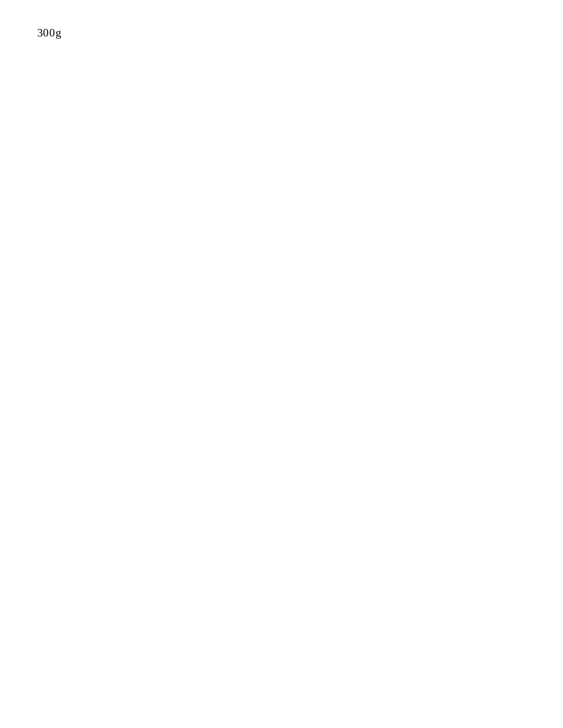300g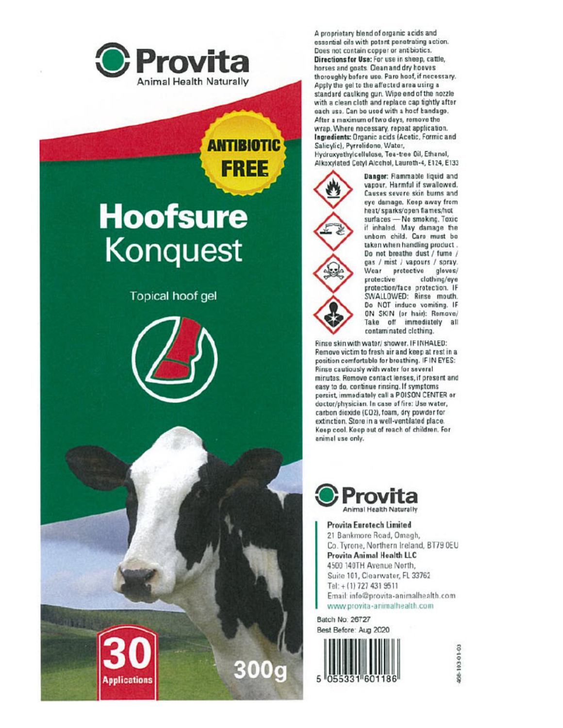

## **ANTIBIOTIC FREE**

# **Hoofsure Konquest**

**Topical hoof gel** 





A proprietary blend of organic acids and essential oils with potent penetrating action. Does not contain copper or antibiotics. Directions for Use: For use in sheep, cattle, horses and goats. Clean and dry hooves thoroughly before use. Pare hoof, if necessary. Apply the gel to the affected area using a standard caulking gun. Wipe end of the nozzle with a clean cloth and replace cap tightly after each use. Can be used with a hocf bandage. After a maximum of two days, remove the wrap. Where nacessary, repeat application. Ingredients: Organic acids (Acetic, Formic and Salicylic), Pyrrolidone, Water, Hydroxyethylcellulose, Tea-tree Oil, Ethanol, Alkoxylated Cetyl Alcohol, Laureth-4, E124, E133



Danger: Flammable liquid and vapour. Harmful if swallowed. Causes severe skin burns and eye damage. Keep away from heat/sparks/open flames/hot surfaces - No smoking. Toxic<br>if inhaled. May damage the unborn child. Care must be taken when handling product. Do not breathe dust / fume / gas / mist / vapours / spray. Wear pretective gloves/ protective clothing/eye protection/face protection. IF SWALLOWED: Rinse mouth. Do NOT induce vomiting. IF ON SKIN (or hair): Remove/ Take off immediately all contaminated clothing.

Rinse skin with water/shower. IF INHALED: Remove victim to fresh air and keep at rest in a position comfortable for breathing. IF IN EYES: Rinse cautiously with water for several minutes. Remove contact lenses, if present and easy to do, continue rinsing. If symptoms persist, immediately call a POISON CENTER or doctor/physician. In case of fire: Use water, carbon dioxide (CO2), foam, dry powder for extinction. Store in a well-ventilated place. Keep cool. Keep out of reach of children. For animal use only.



Provita Eurotech Limited 21 Bankmore Road, Omagh, Co. Tyrone, Northern Ireland, BT79 OEU Provita Animal Health LLC 4500 140TH Avenue North, Suite 101, Clearwater, FL 33762 Tel: + (1) 727 431 9511 Email: info@provita-animalhealth.com www.provita-animalhealth.com

Batch No: 26727 Best Before: Aug 2020



108-103-01-03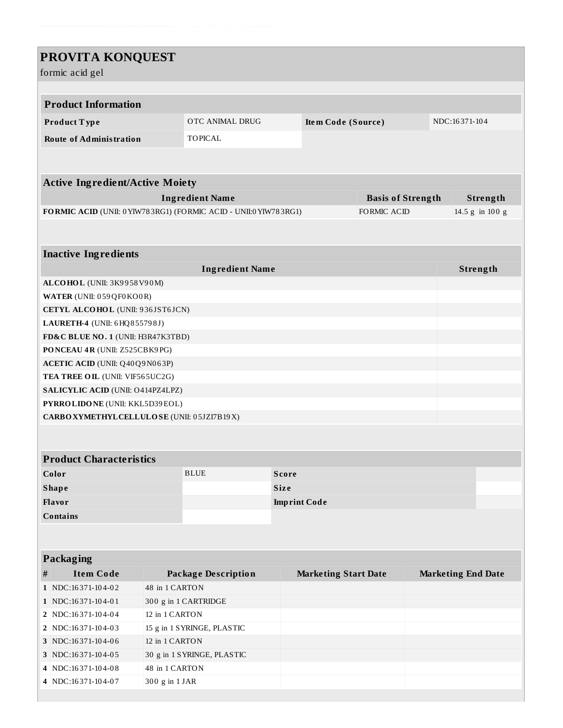### **PROVITA KONQUEST**

formic acid gel

| formic acid gel                        |                                                                        |                                              |                                                                  |                           |                             |                    |               |                           |  |  |  |
|----------------------------------------|------------------------------------------------------------------------|----------------------------------------------|------------------------------------------------------------------|---------------------------|-----------------------------|--------------------|---------------|---------------------------|--|--|--|
|                                        |                                                                        |                                              |                                                                  |                           |                             |                    |               |                           |  |  |  |
|                                        | <b>Product Information</b>                                             |                                              |                                                                  |                           |                             |                    |               |                           |  |  |  |
|                                        | Product Type                                                           | OTC ANIMAL DRUG                              |                                                                  | <b>Item Code (Source)</b> |                             |                    | NDC:16371-104 |                           |  |  |  |
|                                        | <b>Route of Administration</b>                                         |                                              | <b>TOPICAL</b>                                                   |                           |                             |                    |               |                           |  |  |  |
|                                        |                                                                        |                                              |                                                                  |                           |                             |                    |               |                           |  |  |  |
|                                        |                                                                        |                                              |                                                                  |                           |                             |                    |               |                           |  |  |  |
| <b>Active Ingredient/Active Moiety</b> |                                                                        |                                              |                                                                  |                           |                             |                    |               |                           |  |  |  |
|                                        |                                                                        |                                              | <b>Ingredient Name</b>                                           |                           | <b>Basis of Strength</b>    |                    | Strength      |                           |  |  |  |
|                                        |                                                                        |                                              | FORMIC ACID (UNII: 0 YIW783RG1) (FORMIC ACID - UNII:0 YIW783RG1) |                           |                             | <b>FORMIC ACID</b> |               | 14.5 g in 100 g           |  |  |  |
|                                        |                                                                        |                                              |                                                                  |                           |                             |                    |               |                           |  |  |  |
|                                        |                                                                        |                                              |                                                                  |                           |                             |                    |               |                           |  |  |  |
|                                        | <b>Inactive Ingredients</b>                                            |                                              |                                                                  |                           |                             |                    |               |                           |  |  |  |
| <b>Ingredient Name</b><br>Strength     |                                                                        |                                              |                                                                  |                           |                             |                    |               |                           |  |  |  |
|                                        | ALCOHOL (UNII: 3K9958V90M)                                             |                                              |                                                                  |                           |                             |                    |               |                           |  |  |  |
|                                        | WATER (UNII: 059 QF0 KO0 R)                                            |                                              |                                                                  |                           |                             |                    |               |                           |  |  |  |
|                                        | CETYL ALCOHOL (UNII: 936JST6JCN)                                       |                                              |                                                                  |                           |                             |                    |               |                           |  |  |  |
|                                        | LAURETH-4 (UNII: 6HQ855798J)                                           |                                              |                                                                  |                           |                             |                    |               |                           |  |  |  |
|                                        | FD&C BLUE NO. 1 (UNII: H3R47K3TBD)                                     |                                              |                                                                  |                           |                             |                    |               |                           |  |  |  |
|                                        | PONCEAU 4R (UNII: Z525CBK9PG)                                          |                                              |                                                                  |                           |                             |                    |               |                           |  |  |  |
|                                        | <b>ACETIC ACID</b> (UNII: Q40Q9N063P)                                  |                                              |                                                                  |                           |                             |                    |               |                           |  |  |  |
|                                        | TEA TREE OIL (UNII: VIF565UC2G)                                        |                                              |                                                                  |                           |                             |                    |               |                           |  |  |  |
|                                        | SALICYLIC ACID (UNII: O414PZ4LPZ)                                      |                                              |                                                                  |                           |                             |                    |               |                           |  |  |  |
|                                        | PYRROLIDONE (UNII: KKL5D39EOL)                                         |                                              |                                                                  |                           |                             |                    |               |                           |  |  |  |
|                                        | CARBO XYMETHYL CELLULOSE (UNII: 05JZI7B19X)                            |                                              |                                                                  |                           |                             |                    |               |                           |  |  |  |
|                                        |                                                                        |                                              |                                                                  |                           |                             |                    |               |                           |  |  |  |
|                                        |                                                                        |                                              |                                                                  |                           |                             |                    |               |                           |  |  |  |
|                                        | <b>Product Characteristics</b>                                         |                                              |                                                                  |                           |                             |                    |               |                           |  |  |  |
| Color                                  |                                                                        |                                              | <b>BLUE</b>                                                      | <b>Score</b>              |                             |                    |               |                           |  |  |  |
| <b>Shape</b>                           |                                                                        |                                              |                                                                  | Size                      |                             |                    |               |                           |  |  |  |
| Flavor                                 |                                                                        |                                              |                                                                  | <b>Imprint Code</b>       |                             |                    |               |                           |  |  |  |
|                                        | <b>Contains</b>                                                        |                                              |                                                                  |                           |                             |                    |               |                           |  |  |  |
|                                        |                                                                        |                                              |                                                                  |                           |                             |                    |               |                           |  |  |  |
|                                        |                                                                        |                                              |                                                                  |                           |                             |                    |               |                           |  |  |  |
|                                        | Packaging                                                              |                                              |                                                                  |                           |                             |                    |               |                           |  |  |  |
| #                                      | <b>Item Code</b>                                                       |                                              | Package Description                                              |                           | <b>Marketing Start Date</b> |                    |               | <b>Marketing End Date</b> |  |  |  |
|                                        | 1 NDC:16371-104-02                                                     | 48 in 1 CARTON                               |                                                                  |                           |                             |                    |               |                           |  |  |  |
|                                        | 1 NDC:16371-104-01                                                     | 300 g in 1 CARTRIDGE                         |                                                                  |                           |                             |                    |               |                           |  |  |  |
|                                        | 2   NDC:16371-104-04<br>2   NDC:16371-104-03                           | 12 in 1 CARTON                               |                                                                  |                           |                             |                    |               |                           |  |  |  |
|                                        |                                                                        | 15 g in 1 SYRINGE, PLASTIC<br>12 in 1 CARTON |                                                                  |                           |                             |                    |               |                           |  |  |  |
|                                        | 3 NDC:16371-104-06<br>3 NDC:16371-104-05<br>30 g in 1 SYRINGE, PLASTIC |                                              |                                                                  |                           |                             |                    |               |                           |  |  |  |
|                                        | 48 in 1 CARTON<br>4 NDC:16371-104-08                                   |                                              |                                                                  |                           |                             |                    |               |                           |  |  |  |
|                                        | 4 NDC:16371-104-07<br>300 g in 1 JAR                                   |                                              |                                                                  |                           |                             |                    |               |                           |  |  |  |
|                                        |                                                                        |                                              |                                                                  |                           |                             |                    |               |                           |  |  |  |